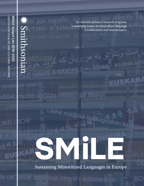uvos

**DRNS** 

és cal

 $\frac{1}{2}$ *An interdisciplinary research program, examining issues in minoritized language revitalization and maintenance.*  $\overline{111}$ ЖЫВ  $\mathbf{P}$ MUCKL **EUS** la umi **bissuo Iessu** Lilahé madjaké  $\overline{z}$  $b_{\mathcal{O}}$ lia **SMILE** Sustaining Minoritized Languages in Europe

rere els substantius.

BC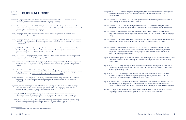Pellegrino, M. (2018), 'O jeno me diu glosse: il bilinguismo griko-salentino come risorsa,' in *La diglossia nell'area ellenofona del Salento. Atti della mattinata di studi, Zollino*, Giannachi F. (ed.),

Smith-Christmas, C. (due March 2021), 'On the Edge: Intergenerational Language Transmission in the

imaginative play of two bilingual sisters,' in the *Journal of Bilingual Education and Bilingualism*.

Smith-Christmas, C. and NicLeòid, S. (submitted January 2019), 'How to turn the tide: The policy implications emergent from comparing a 'Post-vernacular' FLP to a 'ProGaelic' FLP,' in *Language* 

Smith-Christmas, C. (submitted April 2019), 'Intergenerational Transmission: The Need for a Good Start,' in *Actes du Colloque*, Fabegras, I. and Bihan, H. (eds.), Rennes: Université de Rennes.

Intergenerational Transmission in the Corca Dhuibhne Gaeltacht,' in *Transmitting minority languages: Complementary reversing language shift strategies*, Hornsby, M. and McLeod, W.

- Panico editore.
- 21st Century,' in *Multilingual Matters*, Clevedon.
- Smith-Christmas, C. (2020), 'Double-voicing and rubber ducks: The dominance of English in the
- *Policy.*
- 
- Smith-Christmas, C. and Ruiséal, O. (due April 2020), 'Tús Maith, A Good Start: Intervention and (eds.), London: Palgrave MacMillan.
- Science Press.
- Cambridge University Press.
- Sallabank, J. (eds.), Cambridge: Cambridge University Press.
- 
- Exploring language assessments of speakers and non-speakers,' in SMiLE volume.

Squillaci, M.O. and Pellegrino, M. (submitted March 2020), 'Language Use and Variation within the Greek Linguistic Minorities of Southern Italy,' in *Contact & Multilingualism Series*. Berlin: Language

Squillaci, M. O. (2020), 'It's good for your heart. Three motivational steps for language revitalization,' in *Revitalizing endangered languages: a practical guide*, Olko, J. & Sallabank, J. (eds.), Cambridge:

Squillaci, M. O. (2020), 'An introspective analysis of one year of revitalization activities. The Greko community of practice,' in *Revitalizing endangered languages: a practical guide*, Olko, J. &

Squillaci, M.O. (2019), 'Le aree interne come spazio di diversità e somiglianze: il caso dell'area Grecanica', in *Territori spezzati. Spopolamento e abbandono nelle aree interne dell'italia contemporanea*, Macchi Janica, G. & Palumbo, A. (eds.), CISGE – Centro Italiano per gli Studi Storico-Geografici.

Terhart, L., Langer, N. and Admiraal, F. (in preparation), 'Which North Frisian should be maintained?



- Brennan, S. (in preparation), 'More than merchandise: Commercial Occitan as a site of encounter, discussion, and resistance,' to be submitted to *Language in Society.*
- Brennan, S. and Costa, J. (submitted Oct. 2019), 'La formulation d'un lien langue/territoire peut-elle jouer en faveur d'une langue minorisée? La question occitane et la région Occitanie,' in the I*nternational Journal of the Sociolinguistics of Language.*
- Costa, J. (in preparation), '"Ieu te dise aime tròp lo provençau": l'école primaire en Occitan,' to be submitted to *Anthropochildren.*
- Costa, J. (in preparation), 'The Cosmopolitics of "Patois" and "Language": Why do Traditional Speakers of Minority Languages Remain Reluctant to Join Revival Movements?,' to be submitted to *American Anthropologist.*
- Costa, J. (2020), 'Quand transmettre ne va pas de soi : entre transmission et socialisation, comment penser le futur des langues minoritaires?,' in *Les langues minorées face au défi de la transmission familiale*, Fabegras, I. and Bihan, H. (eds.), Rennes: TIR.
- Costa, J. and Muller, D. (in preparation), 'From politics to hobby: New speakers of Occitan and political engagement,' to be submitted to *Language Policy*.
- Dayán-Fernández, A. and O'Rourke, B. & (in press), 'Galician-Portuguese and the Politics of Language in Contemporary Galicia,' in *The Politics of Multilingualism*, Strani, K. (ed.), London: Palgrave Mac Millan.
- Dołowy-Rybińska, N. and Ratajczak, C. (2019), 'Upper Sorbian language education: when community language maintenance practices disregard top-down revitalisation strategies.' In *Language, Culture and Curriculum*. DOI: [https://doi.org/10.1080/07908318.2019.1630424](https://www.tandfonline.com/doi/full/10.1080/07908318.2019.1630424)
- Dołowy-Rybińska, N. and Ratajczak, C. (in press), 'La revitalisation des langues sorabes et la politique linguistique en Lusace vue par les acteurs principaux de la scène sorabe,' in *Les Cahiers de MIMMOC.*
- Gregersen, Johanna and Langer, N. (submitted Dec. 2019), 'Linguistic Purism in Minority Languages Evidence from North Frisian,' in *Language Contact in Smaller Languages*, Zimmer, C. & Simon, H. (eds.), Berlin: Language Science Press. (OPEN ACCESS)
- O'Rourke, B. (2019), 'Carving Out Breathing Spaces for Galician. New Speakers' Investment in Monolingual Practices,' in *Languagized Lives*, in Jaspers, J. & Madsen, L. (eds.), Routledge.
- O'Rourke, B. and Nandi, A. (2019), 'New speaker parents as grassroots policy makers in contemporary Galicia: ideologies, management and practices,' in *Language Policy* 18, pp. 493-511.

Produced directly from or in conjunction with SMiLE research.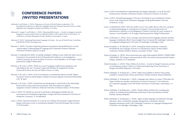## **CONFERENCE PAPERS /INVITED PRESENTATIONS**

- Admiraal, F. and Terhart, L. (2019), 'Responses to 50 years of North Frisian in education,' 17th International Conference on Minority Languages (Mercator European Research Centre on Multi lingualism and Language Learning, Leeuwarden), 22-24 May.
- Admiraal, F., Langer, N. and Terhart, L. (2018), 'Measuring Effectiveness A study on changes in minority language use and perception due to revitalisation efforts, with evidence from North Frisian.' 1st Conference on Frisian Humanities (Fryske Akademy, Leeuwarden), 25 April.
- Admiraal, F. (2019), 'Sustaining Minoritized Languages in Europe the case of North Frisian,' Lunchtime talk (KNAW-DANS, Den Haag), June.
- Brennan, S. (2018), 'Occitania: Exploring questions of groupness and speakerhood in a newly -named region', Understandings of Language and Community Seminar (National University of Ireland, Galway), 26 April.
- Brennan, S. (submitted for 2020), 'Acceptable ambiguity: Selling Occitan within the safety zone of Occitania', to be presented at the 3rd International Conference on Sociolinguistics (Charles University & Czech Academy of Sciences, Czech Republic), 26-28 August. (Panel proposed by Tadhg Ó hIfrearnáin).
- Brennan, S. & Costa, J. (2018), 'What's in a name? Language, emplacement, groupness, and rebranding in the new "Occitania" region', 8th Obrador de Lingüistica Occitana (Université de Pau et des Pays de l'Adour, France), 5-6 July.
- Brennan, S. & Costa, J. (2019), 'Actes de nomination et revitalisation dans la nouvelle 'Région Occitanie'', Centre de dialectologie et d'étude du français régional (Université deNeuchâtel, CH), 30 April.
- Brennan, S. & Costa, J. (2019), 'Named but non-threatening: A critical look at the relationship between place names and postvernacularity', Irish Association for Applied Linguistics Annual Conference (National University of Ireland, Galway), 30 November.
- Costa, J. (2018), 'De l'intérêt (ou non) de la clarification idéologique préalable dans les mouvements de revitalisation linguistique,' Congrès des francoromanistes (University of Osnabrück, Germany), 27-29 September.
- Costa, J. (2018), 'Quand transmettre ne va pas de soi', Colloque international: Langue bretonne, langues minorisées, avenir et transmission familiale (Université Bretagne Sud, Lorient), 23-24 November.

Invited lecture, (Institute of Romance Studies, University of Zurich), 23 October.

Costa, J. (2019), 'Revitalizing language in Provence: Revisiting 10 years of fieldwork', Invited lecture at the Department of Romance languages (Ludwig Maximilian University

Costa, J. (submitted for 2020), 'After the conflict is over: Can conflict theory still serve a purpose to understand language in contemporary Occitania?', to be presented at the 3rd International Conference on Sociolinguistics (Charles University & Czech Academy of Sciences, Czech Republic), 26-28 August (Panel proposed by Tadhg Ó hIfrearnáin).

Costa, J. & Brennan, S. (2018), 'Does a stronger association between language and place facilitate language revitalisation efforts? Some insights from Occitania', 8th Cambridge Conference

Revitalization and Language Activism in Contemporary Galicia,' Sorbian SMiLE

- Costa, J. (2019), 'Revitalisation et standardisation des langues régionales : le cas de l'occitan,'
- of Munich), 10 July.
- 
- on Language Endangerment (University of Cambridge, Cambridge), 4 July.
- Dayán-Fernández, A. & O'Rourke, B. (2019), 'Sowing the Seeds at Semente: Grassroots Conference (Sorbian Institute, Bautzen, Germany), 30 May- 1 June.
- Galegos, Madrid), 10-15 September.
- Glasgow and MOD Ghlaschu), 10 October.
- Dołowy-Rybińska, N. & Ratajczak, C. (2018), 'Kajka rěčna politika za Serbow? Staw, prěnje
- May.
- Dołowy-Rybińska, N. & Ratajczak, C. (2018), 'Projekt SMiLE Serbskej rěči: rewitalizaciske Institute, Bautzen/Budyšin).
- (University of Cambridge, Cambridge), 4 July.

Dayán-Fernández, A. (2018), 'Novos horizontes para unha Galicia global: REDES | TERRITORIO | MEMORIA,' XII Congreso Internacional da AIEG (Asociación Internacional de Estudos

Dayán-Fernández, A. (2019), 'Policy, Politics & Activism – in need of change? Grassroots activism in contemporary Galicia,' 'Gaelic in a Global and Digital Age' Event (University of

wuslědki a rozmyslowanja,' Project presentation (Sorbian Institute, Bautzen/Budyšin).

Dołowy-Rybińska, N. & Ratajczak, C. (2018), 'Languages and cultures in contact: What place for Upper Sorbian new speakers and learners in Lusatia (Germany)?,' 3rd Conference on Contested Languages in the Old World (University of Amsterdam, Amsterdam), 3-4

pospyty we wšelakorymaj politiskimaj systemomaj,' Project presentation (Sorbian

Dołowy-Rybińska, N. & Ratajczak, C. (2018), 'Upper Sorbian language (re)vitalization through education: when revitalisation strategies disregard the community's internal language maintenance policy,' 8th Cambridge Conference on Language Endangerment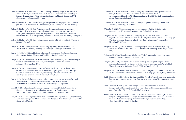- Dołowy-Rybińska, N. & Ratajczak, C. (2019), 'Learning a minority language and English at school: methods, motivations, attitudes. A case of non-native students in the Upper Sorbian Grammar School,' International Conference on Minority Languages XVII (Leeuwarden, Netherlands), 22-24 May.
- Dołowy-Rybińska, N (2019), 'Rewitalizacja języków górnołużyckich: projekt SMiLE,' Project presentation at the Institute of Slavic Studies (Polish Academy of Sciences, Warsaw).
- Dołowy-Rybińska, N. (2019), 'La (re)vitalisation des langues sorabes vue par les acteurs principaux de la scène sorabe,' Revitalisation linguistique : pour qui ? pour quoi ? Idéologies et stratégies à l'œuvre dans les processus de redynamisation des langues minoritaires de l'Union Européenne (Université de Poitiers, Poitiers, France), Spring 2019.
- Dołowy-Rybińska, N. (2019), 'Ratowanie ginących języków: od teorii do praktyki,' "Festival of Science" (Warsaw).
- Langer, N. (2018), 'Challenges of North Frisian Language Policy,' Research Colloquium, Department of German (University of Cambridge, Cambridge), November 2018.
- Langer, N. (2019), 'Is Frisian a Pluricentric Language?' International Conference: Language, Cultures, and Nations (University of Stockholm, Sweden), 22-24 May.
- Langer, N. (2019), '"Wan frasch, dan uk rucht frasch." Zur Wahrnehmung von Sprachrichtigkeit bei friesischen MuttersprachlerInnen,' Forschungskolloquium (Universität Erlangen-Nürnberg), June 2019.
- Langer, N. (2019), 'Book Frisians are pretty perfect as regards grammar but they are also exhausting as they keep correcting us. On Evaluating Language Use and Language Contact in North Frisia.' German(ic) in Language Contact: Grammatical and sociolinguistic dynamics (Freie Universität, Berlin), 5 July.
- Langer, N. (2019), 'Minderheitensprachensprecher im Spannungsfeld von new speakers und Sprachkodizes, am Beispiel des Nordfriesischen,' LaienWissenSprache, International Conference (University of Kiel, Germany), 5-7 September.
- Linn, M. S. (2019), 'Sustaining Minoritized Languages of Europe (SMiLE): Case Studies in Community Responses to Revitalization,' International Conference on Language Documentation and Conservation (University of Hawi'i, Manoa), 2 March.
- Linn, M. S. (2019), 'The Language Renaissance: Local and Global Reponses to Language Renewal,' Fantastic Languages and Where to Find Them - Language Revitalization School, COLING (Bova, Italy), 17 April.

Smith-Christmas, C. (2018), 'Reversing Language Shift: The role of second-generation mothers in language maintenance,' International Congress of Linguists (Cape Town, South Africa), 6

through the lens of social movement theory: participatory methods and the co-production of knowledge,' IV Simposium Internacional EDiSo (Universidade de Santi

linguistic minorities of Southern Italy,' ICLaVE|10 (International Conference on Language Variation in Europe, "European minority and diaspora languages," (Leeuwarden,

communities of Southern Italy,' COLING International Workshop (Bova, Italy), August

- O'Rourke, B. & Dayán-Fernández, A. (2019), 'Language activism and language revitalization ago de Compostela, Galiza), 7 June.
- O'Rourke, B. & Dayán-Fernández, A. (2018), Doing Ethnography Workshop (Heriot-Watt University, Edinburgh), 31 October.
- O'Rourke, B. (2018), 'New speaker activism in contemporary Galicia,' Sociolinguistics Symposium 22 (University of Auckland, New Zealand), 27-20 June.
- Pellegrino, M. and Squillaci, M. O. (2019), 'Language use and variation within the Greek Netherlands), 26 June.
- Pellegrino, M. and Squillaci, M. O. (2018), 'Investigating the future of the Greek-speaking 2018.
- Pellegrino, M. (2018), 'Greek language ideologies of Griko,' Anthropological seminar series (Panteion University, Athens), December 2018.
- Pellegrino, M. (2019), 'Neologisms and linguistic recovery as language ideological debates: Them - Language Revitalization School, COLING (Bova), 16 April.
- 
- July.
- Smith-Christmas, C. (2019), 'An Saibhreas agus an Saol: The importance of 'place' in and Policymakers (Trinity College, Dublin), 29 March.
- Cape Breton, Nova Scotia), 10 October.

purism and compromise in the case of Griko,' Fantastic Languages and Where to Find

Pellegrino, M. (2019), Presentation of the video "Imì/emì ce i/e glosse-ma," Napoli Castel Nuovo on the occasion of the International Day of the Greek language, (Naples, Italy), 9 February.

intergenerational language transmission,' Symposium for Irish Language Practitioners

Smith-Christmas, C. and Ruiséal, O. (2019), 'Sicín Mise Go Sona Sásta: Integrating Children's Song into Intergenerational Language Transmission in the Corca Dhuibhne Gaeltacht,' A' Chànain Cheòlmhor: Language Revitalization through Music (Gaelic College,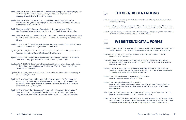- Smith-Christmas, C. (2018), 'Gaelic in Scotland and Ireland: The impact of wider language policy on the family,' The Conseil Culturel de Bretagne event on Intergenerational Language Transmission (Lorient), 23 November.
- Smith-Christmas, C. (2019), 'Intersectional and multidimensional: Using 'saibhreas' to conceptualise intergenerational language transmission,' Melbourne Linguistics Meet Up (University of Melbourne), 9 May.
- Smith-Christmas, C. (2018), 'Language Transmission in Scotland and Ireland,' Celtic Sociolinguistics Symposium (National University of Ireland, Galway) 16 November.
- Smith-Christmas, C. (2019) 'Saibhreas' versus standard: resolving potential ideological tensions in Corca Dhuibhne,' International Congress of Celtic Studies (University of Bangor, Wales), 23 July.
- Squillaci, M. O. (2019), 'Eliciting data from minority languages. Examples from Calabrian Greek,' MedLang Conference (Göttingen, Germany), June 2019.
- Squillaci, M. O. (2019), 'Grecità in Italia,' on the occasion of the International Day of the Greek Language (La Sapienza Università di Roma, Italy), 9 February.
- Squillaci, M. O. (2019), 'Magna Graecia and magni glossa,' Fantastic Languages and Where to Find Them - Language Revitalization School, COLING (Bova), 14 April.
- Squillaci, M. O. (2018), 'Greko 2.0. Rivitalizzazione linguistica e nuove tecnologie,' La Figura del Mediatore Linguistico e Culturale nell'Era Digitale (SSML San Domenico di Roma, Fermo, Italy), 23-24 March.
- Squillaci, M. O. (2018), 'Il greco in/di Calabria,' Corso di lingua e cultura italiana (University of Calabria, Italy), June 2018.
- Squillaci, M. O. (2018), 'Weaving identity through language. Notes on the Calabrian Greek community,' The Political Logic of Mediterranean Landscapes: Insights from NEHsponsored Archaeological Research in Southern Calabria (University of Notre Dame, South Bend, Indiana), 28-30 June.
- Squillaci, M. O. (2018), 'When Greek meets Romance: A Morphosyntactic Investigation of Language Contact in Aspromonte,' "It's all Greek to me: Hellenization and Greek Language Survival in Calabria" (Italian Archeological School, Athens), 24 November.



Hansen, C. (2019), *Wahrnehmung und Effektivität von nordfriesischer Sprachpolitik*, M.A. dissertation,

Marvin, C. (2019), *Minority Language Education Policy in Practice: Constructing Social Relationships in Aranese Classrooms* (unpublished Master's thesis), Paris: Université Sorbonne Nouvelle - Paris 3.

- University of Flensburg.
- 
- Master's thesis), Paris: Université Sorbonne Nouvelle Paris 3.



Saincet, T. (In preparation), *Le catalan au stade. Utiliser la langue pour redéfinir la frontière* (unpublished

## **WEBSITES/DIGITAL FORMS**

Admiraal, F. (2020), 'Winter Ends with a Bonfire: Culture and Community in North Frisia,' *Smithsonian Folklife Magazine*. <https://folklife.si.edu/magazine/winter-bonfire-biikebrennen-north-frisia>

*Smithsonian Folklife Magazine*, 4 February 2019. [https://folklife.si.edu/magazine/sharing-heri](https://folklife.si.edu/magazine/sharing-heritage-occitan-sheep-farm) 

Revitalizing Galician Language,' *Smithsonian Folklife Magazine*, 20 March 2019. [https://folklife.](https://folklife.si.edu/magazine/grassroots-activism-galician-language) 

- 
- Brennan, S. & Costa, J. (Eds.) (2018-present), Revitaliser l'occitan dans la nouvelle Occitanie. <https://occitan.hypotheses.org/>
- Brennan, S. (2019), 'Paratge, Amistat, e Formatge: Sharing Heritage on an Occitan Sheep Farm,' [tage-occitan-sheep-farm](https://folklife.si.edu/magazine/sharing-heritage-occitan-sheep-farm)
- Dayán-Fernández, A. (2019), 'Sharpening Our Indigenous Memory: How Grassroots Activism Is [si.edu/magazine/grassroots-activism-galician-language](https://folklife.si.edu/magazine/grassroots-activism-galician-language)
- Greko & Griko: Filoxenia (the love for the foreigner). October 2018. <https://www.youtube.com/watch?v=yskJ2Lj2Nas>
- Greko & Griko: Imì/emì ce i glosse-ma, February 2019 Greko-speakers).
- <https://www.uni-flensburg.de/friesisch/forschung/smile-project/>
- 

<https://www.facebook.com/luigi.garrisi.3/videos/10218664762110647/> (contribution from Griko-speakers).<https://www.youtube.com/watch?v=s7PkQCC5qNo> (contribution from

'North Frisian,' Dedicated project page on the University of Flensburg's Frisian Department's website,

Pellegrino, M., Squillaci, M.O., & Linn, M. (2020), 'Traveling with Language, Through Language: Easter in the Griko and Greko Communities of Southern Italy,' *Smithsonian Folklife Magazine,* 10 April 2020. [https://folklife.si.edu/magazine/easter-in-griko-greko-communities-southern-italy.](https://folklife.si.edu/magazine/easter-in-griko-greko-communities-southern-italy)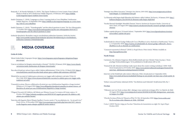- Ratajczak, C. & Dowoły-Rybińska, N. (2019), 'The Zapust Tradition in Lower Lusatia: From Cultural Shame to Pride at 10°F,' *Smithsonian Folklife Magazine*, 19 February 2019. [https://folklife.](https://folklife.si.edu/magazine/zapust-tradition-lower-lusatia)  [si.edu/magazine/zapust-tradition-lower-lusatia](https://folklife.si.edu/magazine/zapust-tradition-lower-lusatia).
- Smith-Christmas, C. (2018), 'Language as a Story: Learning Irish in Corca Dhuibhne,' *Smithsonian Folklife Magazine*, 19 September 2018. [https://folklife.si.edu/magazine/language-as-a-story-learn](https://folklife.si.edu/magazine/language-as-a-story-learning-irish-in-corca-dhuibhne)  [ing- irish-in-corca-dhuibhne](https://folklife.si.edu/magazine/language-as-a-story-learning-irish-in-corca-dhuibhne)
- Smith-Christmas, C. (2019), '"Friendnography" and the ethical questions it raises,' *The New Ethnographer*, 17 October 2019. [https://www.thenewethnographer.org/the-new-ethnographer/2019/10/17/](https://www.thenewethnographer.org/the-new-ethnographer/2019/10/17/friendnography-and-the-ethical-questions-it-raises)  [friendnography-and-the-ethical-questions-it-raises](https://www.thenewethnographer.org/the-new-ethnographer/2019/10/17/friendnography-and-the-ethical-questions-it-raises)
- Sorbische Sprache(n): Revitalisie-rung in verschiedenen politischen Systemen, *Sorbisches Institut.* https://[www.serbski-institut.de/de/Sorbische-Sprachen-Revitalisierung-in-verschiedenen](https://www.serbski-institut.de/de/Sorbische-Sprachen-Revitalisierung-in-verschiedenen-politischen-Systemen-Drittmittelprojekt/)[politischen-Systemen-Drittmittelprojekt/](https://www.serbski-institut.de/de/Sorbische-Sprachen-Revitalisierung-in-verschiedenen-politischen-Systemen-Drittmittelprojekt/)



### **ELECTE MEDIA COVERAGE**

#### **Greko & Griko**

- 'About Greko/Griko,' *Linguapax Europe*. [https://www.linguapax.org/en/linguapax-delegations/lingua](https://www.linguapax.org/en/linguapax-delegations/linguapax-europe/)  [pax-europe/](https://www.linguapax.org/en/linguapax-delegations/linguapax-europe/)
- 'Com es revitalitzen les llengües minoritzades a Europa?' *VilaWeb*, 29 January 2018. [https://www.vilaweb.](https://www.vilaweb.cat/noticies/smile-smithsonian-ub-llengues-minoritzades/ )  [cat/noticies/smile-smithsonian-ub-llengues-minoritzades/](https://www.vilaweb.cat/noticies/smile-smithsonian-ub-llengues-minoritzades/ )
- 'Raccolta di fondi per salvare il greco della Calabria dall'estinzione,' *Il Sole 24 Ore*, 23 March 2018. [https://](https://www.ilsole24ore.com/art/raccolta-fondi-salvare-greco-calabria-dall-estinzione-AEhVltLE)  [www.ilsole24ore.com/art/raccolta-fondi-salvare-greco-calabria-dall-estinzione-AEhVltLE](https://www.ilsole24ore.com/art/raccolta-fondi-salvare-greco-calabria-dall-estinzione-AEhVltLE)
- 'IlSole24Ore racconta la Calabria greca attraverso un viaggio nelle tradizioni e nel mito,' I*l Sole 24 Ore*, 6 July 2018. [https://www.citynow.it/ilsole24ore-racconta-la-calabria-greca-un-viaggio-nelle](https://www.citynow.it/ilsole24ore-racconta-la-calabria-greca-un-viaggio-nelle-tradizioni-nel-mi)[tradizioni-nel-mito/](https://www.citynow.it/ilsole24ore-racconta-la-calabria-greca-un-viaggio-nelle-tradizioni-nel-mi)
- 'Comunità in azione. Ricerca collaborativa di azioni per una rivitalizzazione linguistica a lungo termine,' *Deliapress.it*, 24 August 2018. [https://www.deliapolis.it/products/comunita-in-azione-ricerca- col](https://www.deliapolis.it/products/comunita-in-azione-ricerca-collaborativa-di-azioni-per-una-rivitalizzazione-linguistica-a-lungo-termine/)  [laborativa-di-azioni-per-una-rivitalizzazione-linguistica-a-lungo-termine/](https://www.deliapolis.it/products/comunita-in-azione-ricerca-collaborativa-di-azioni-per-una-rivitalizzazione-linguistica-a-lungo-termine/)
- 'I Ragazzi Grecanici di Calabria e del Salento per Mimmo Lucano,' *La tempora del tempo sospeso*, 14 October 2018. [https://rebstein.wordpress.com/2018/10/14/i-ragazzi-grecanici-di-calabria-e-del](https://rebstein.wordpress.com/2018/10/14/i-ragazzi-grecanici-di-calabria-e-del-salento-per-mimmo)[salento-per-mimmo-lucano/](https://rebstein.wordpress.com/2018/10/14/i-ragazzi-grecanici-di-calabria-e-del-salento-per-mimmo)
- 'Intervista alla linguista Maria Olimpia Squillaci: il nostro motto è "An me platèzzise zio Se mi parli vivo,"' *Punto Grecia*, 19 November 2018. [http://www.puntogrecia.gr/index.php/interviste/1631- intervis](http://www.puntogrecia.gr/index.php/interviste/1631- intervis  ta-alla-linguista-maria-olimpia-squil) [ta-alla-linguista-maria-olimpia-squillaciil-nostro-motto-è](http://www.puntogrecia.gr/index.php/interviste/1631- intervis  ta-alla-linguista-maria-olimpia-squil)

'Strategia Area Pilota Grecanica," *Strategia Aree Interne*, 2019-2022. [http://www.snaigrecanica.it/down](http://www.snaigrecanica.it/download/Allegato_D_SchedeIntervento.pdf)

'La Filoxenia nella lingua degli Ellenofoni del Salento e della Calabria,' *Κελλιανός*, 19 January 2019. [http://](https://kellianos.blogspot.com/2019/01/la-filoxenia-nella-lingua-degli.html)

- [load/Allegato\\_D\\_SchedeIntervento.pdf](http://www.snaigrecanica.it/download/Allegato_D_SchedeIntervento.pdf)
- [kellianos.blogspot.com/2019/01/la-filoxenia-nella-lingua-degli.html](https://kellianos.blogspot.com/2019/01/la-filoxenia-nella-lingua-degli.html)
- [chesson/](https://nanovic.nd.edu/news/faculty-research-spotlight-meredith-chesson/)
- [news/zollino-capitale-del-grico](https://www.ilgrandesalento.it/notizie/news/zollino-capitale-del-grico )

'Faculty Research Spotlight: Meredith Chesson,' *Nanovic Institute for European Studies, University of Notre Dame*, 20 August 2019. [https:/nanovic.nd.edu/news/faculty-research-spotlight-meredith-](https://nanovic.nd.edu/news/faculty-research-spotlight-meredith-chesson/)

'Zollino capitale del grico,' *Il Grande Salento,* 7 September 2019. [https://www.ilgrandesalento.it/notizie/](https://www.ilgrandesalento.it/notizie/news/zollino-capitale-del-grico ) 

#### **Irish**

'Ardmholadh do chúrsaí Gaeilge Oidhreacht Corca Dhuibhne in alt ar shuíomh an Smithsonian,' *Tuairisc. ie*, 21 September 2018. [https://tuairisc.ie/ardmholadh-do-chursai-gaeilge-oidhreacht- chorca-](https://tuairisc.ie/ardmholadh-do-chursai-gaeilge-oidhreacht-chorca-dhuibhne-in-alt-ar-shuiomh-an-smithsonian/)

- [dhuibhne-in-alt-ar-shuiomh-an-smithsonian/](https://tuairisc.ie/ardmholadh-do-chursai-gaeilge-oidhreacht-chorca-dhuibhne-in-alt-ar-shuiomh-an-smithsonian/)
- 'Comment transmettre le Breton?' (2018) *Le Peuple Breton*. Print Article. Website Available at: <http://lepeuplebreton.bzh/>

#### **North Frisian**

Carstensen, Ute, Johanna Gregersen, Britta Reifferscheidt and Ann-Christin Vietje (in prep.), 'Zweis

'Friesisch für alle: Monsterworkshop (radio report about the creative writing workshop),' *NDR1 Welle Nord*, broadcasted on 30 October 2019. [https://www.ndr.de/wellenord/sendungen/friesisch/Frie](https://www.ndr.de/wellenord/sendungen/friesisch/Friesisch-fuer-alle-Monsterworkshop,friesisch1518.html) 

- prachige Ortsbeschilderungen,' To be published in *Nordfriesland*, 209 or 210.
- [sisch-fuer- alleMonsterworkshop,friesisch1518.html](https://www.ndr.de/wellenord/sendungen/friesisch/Friesisch-fuer-alle-Monsterworkshop,friesisch1518.html)
- Interview at the FriiskFunk radio station (Alkersum, Föhr), broadcasted on 5 September 2018, [faadet](https://www.oksh.de/hoeren/mediathek/?beitrag=en-nei-projekt-wat-ham-mae-a-fresk-spriik- befaadet)
- 

[https://www.oksh.de/hoeren/mediathek/?beitrag=en-nei-projekt-wat-ham-mae-a-fresk-spriik- be](https://www.oksh.de/hoeren/mediathek/?beitrag=en-nei-projekt-wat-ham-mae-a-fresk-spriik- befaadet) 

Terhart, Lena and Femmy Admiraal (2018), 'Von Bolivien nach Fahretoft.' *Nordfriesland* 204, Pp. 7.

#### **Occitan**

'Villeneuve-sur-Lot. École occitane d'été : dialogue russo-américain en langue d'Oc,' *La Dépêche du Midi*, 18 August 2018. [https://www.ladepeche.fr/article/2018/08/16/2851860-dialoguerusso- americain-](https://www.ladepeche.fr/article/2018/08/16/2851860-dialoguerusso-americain-en-langue-d-oc.html)

'L'Escòla Occitana d'Estiu de Vilanuèva d'Òut,' *Òc Tele*, 26 September 2018. [https://www.octele.com/](https://www.octele.com/Esc-la-occitana-estiu-vilanueva-ut_fiche_1263.html) 

- [en-langue-d-oc.html](https://www.ladepeche.fr/article/2018/08/16/2851860-dialoguerusso-americain-en-langue-d-oc.html)
- [Esc-la-occitana-estiu-vilanueva-ut\\_fiche\\_1263.html](https://www.octele.com/Esc-la-occitana-estiu-vilanueva-ut_fiche_1263.html)
- Costa, J. (2019) 'Darrier viatge per l'occitan ? Questions de transmission au sègle 21e', *Aquò d'Aquí,* October 2019.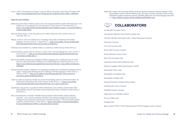Costa, J. (2019) 'Transmission de la lenga : li a ges de solucion miraculosa', *Aquò d'Aquí,* November 2019. [https://www.aquodaqui.info/Es-pas-la-lenga-que-fau-socializar-mai-leis-enfants\\_a1900.html](https://www.aquodaqui.info/Es-pas-la-lenga-que-fau-socializar-mai-leis-enfants_a1900.html)

#### **Upper & Lower Sorbian**

- 'Slědźerski projekt dobyli. Serbšćina jedna ze šěsć rěčow přepytowanskeho projekta' [Research project won. Sorbian one of six languages of a research project], *Serbske Nowiny*, 23 November 2017, p. 1. [https://www.serbske-nowiny.de/index.php/hsb/z-luzicy/lokalka/z-mestow-a- wsow/item/30669-sl](https://www.serbske-nowiny.de/index.php/hsb/z-luzicy/lokalka/z-mestow-a-wsow/item/30669-sl-d-erski-projekt-dobyli)[d-erski-projekt-dobyli](https://www.serbske-nowiny.de/index.php/hsb/z-luzicy/lokalka/z-mestow-a-wsow/item/30669-sl-d-erski-projekt-dobyli)
- 'Mój wid: SMiLE: pomoc z USA' [My point of view: SMiLE: Help from USA], *Serbske Nowiny*, 23 November 2017, p. 2.
- 'Slěźitej, co luźe se mylse wót serbskeje rěčy' [Searching, what people are thinking of the Sorbian language]. In *Nowy Casnik* 15, 11 April 2018, p. 2. [https://www.serbske- nowiny.de/index.php/](https://www.serbske-nowiny.de/index.php/hsb/component/k2/item/35561-serb-ina-tema-na-konferency)  [hsb/component/k2/item/35561-serb-ina-tema-na-konferency](https://www.serbske-nowiny.de/index.php/hsb/component/k2/item/35561-serb-ina-tema-na-konferency)
- 'Serbšćina tema na konferency' [Sorbian subject on conference], *Serbske Nowiny*, 06 July 2018, p. 1.
- 'Gaž mam kulturu, trjebam teke rěc' [If I have a culture, then I need the language too], *Nowy Casnik*, 31 January 2019, p. 1. [https://www.nowycasnik.de/index.php/dsb/component/k2/item/5813-ga](https://www.nowycasnik.de/index.php/dsb/component/k2/item/5813-ga-mam-kulturu-trjebam-teke-r-c)[mam-kulturu-trjebam-teke-r-c](https://www.nowycasnik.de/index.php/dsb/component/k2/item/5813-ga-mam-kulturu-trjebam-teke-r-c)
- 'Bjez rěčneje politiki rewitalizacija njefunguje' [Without language policy revitalization does not work, interview with Nicole Dołowy-Rybińska and Cordula Ratajczak], *Rozhlad*, 02/2019, p. 10-15. [https://www.rozhlad.de/index.php/hsb/interview/item/5226-bjez-r-neje-politiki-rewitalizacija](https://www.rozhlad.de/index.php/hsb/interview/item/5226-bjez-r-neje-politiki-rewitalizacija-njef)[njefunguje](https://www.rozhlad.de/index.php/hsb/interview/item/5226-bjez-r-neje-politiki-rewitalizacija-njef)
- 'Planuja konkretnu podpěru. Młodostni wo wužadanjach serbskeje rěče rozmyslowali' [Planning concrete support. Young people thinking about the challenges of Sorbian language], *Serbske Nowiny*, 4 February 2019, p. 1. [https://www.serbske-nowiny.de/index.php/hsb/z- luzicy/towarstwa/](https://www.serbske-nowiny.de/index.php/hsb/z-luzicy/towarstwa/item/40141-planuja-konkretnu-podp-ru) [item/40141-planuja-konkretnu-podp-ru](https://www.serbske-nowiny.de/index.php/hsb/z-luzicy/towarstwa/item/40141-planuja-konkretnu-podp-ru)
- 'Ludźo su wćipni na dopóznaća' [People are curious about findings; interview with Nicole Dołowy- Ry bińska and Cordula Ratajczak], *Serbske Nowiny*, 28 May 2019, p. 1-2. [https://www.serbske](https://www.serbske-nowiny.de/index.php/hsb/z-luzicy/item/42592-lud-o-su-w-ipni-na-dop-zna-a)[nowiny.de/index.php/hsb/z-luzicy/item/42592-lud-o-su-w-ipni-na-dop-zna-a](https://www.serbske-nowiny.de/index.php/hsb/z-luzicy/item/42592-lud-o-su-w-ipni-na-dop-zna-a)
- 'Zamołwitosć sami přewzać. Z projektom SMiLE wědomostnicy staw serbšćiny alnalyzowałoj' [Take Responsibility yourself. Two female scientists analyzed the status of Sorbian], *Serbske Nowiny*, 3 June 2019, p. 1.
- 'Rěč a zhromadźenstwo wozrodźić. Wuslědki mjezynarodneho wědomostneho projekta diskusiju nastorčili – cyle w zmysle zamołwiteju awtorkow' [Revitalizing Language and Community. Findings of an international scientific project stimulate discussion - just as the (female) authors wanted it], Serbske Nowiny, 13 June 2019, p. 3. [https://www.serbske- nowiny.de/index.php/hs](https://www.serbske-nowiny.de/index.php/hsb/z-luzicy/kublanje/item/42909-r-a-zhromad-enstwo-wozrod-i) [b/z-luzicy/kublanje/item/42909-r-a-zhromad-enstwo-wozrod-i](https://www.serbske-nowiny.de/index.php/hsb/z-luzicy/kublanje/item/42909-r-a-zhromad-enstwo-wozrod-i)

'Selbst aktiv werden. Mit dem Projekt SMiLE wurde der Stand der sorbischen Sprache analysiert' [Take Responsibility yourself. With the SMiLE-project the status of Sorbian analyzed], *Serbske Nowiny*, Monatliche Ausgabe in deutscher Sprache, [Monthly publication in German language, July 2019], p. 3. <https://folkways-media.si.edu/docs/folklife/smile/SB2606-3.pdf>



Aix Marseille Université, France Associazione Gallicianò Centro Studi Grecofono, Italy Christian-Albrechts-Universität zu Kiel - Frisian Department, Germany Domowina, Germany GAL Area Grecanica, Italy Heriot-Watt University, Scotland Institut d'Estudis Occitans, France Jalò tu Vua Association, Italy Laboratorio Urbano Salento Kilometro, Italy Minority Languages, Major Opportunities, COLING Municipality of Bova, Italy Municipality of Condofuri, Italy Municipality of Zollino, Italy National University of Ireland, Galway, Ireland Nordfriesischer Verein, Germany Nordfriisk Instituut, Germany Oidhreacht Corca Dhuibhne, Ireland Pro-loco Zollino, Italy Pukambù, Italy Rěčne centrum WITAJ / WITAJ-Sprachzentrum [WITAJ Language Center], Germany

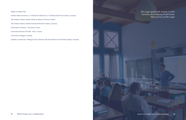### Region of Apulia, Italy

Serbske šulske towarstwo z.t / Sorbischer Schulverein e.V. [Sorbian School Association], Germany The Institute of Slavic Studies, Polish Academy of Sciences, Poland The Sorbian Institute (Serbski institute/Sorbisches Institut), Germany Université de Toulouse - Jean Jaurès, France Université Sorbonne Nouvelle - Paris 3, France University of Glasgow, Scotland

Załožba za serbski lud / Stiftung für das sorbische Volk [Foundation for the Sorbian People], Germany



*Nils Langer speaks with students on Föhr, Germany, about studying North Frisian. Photo courtesy of Nils Langer*